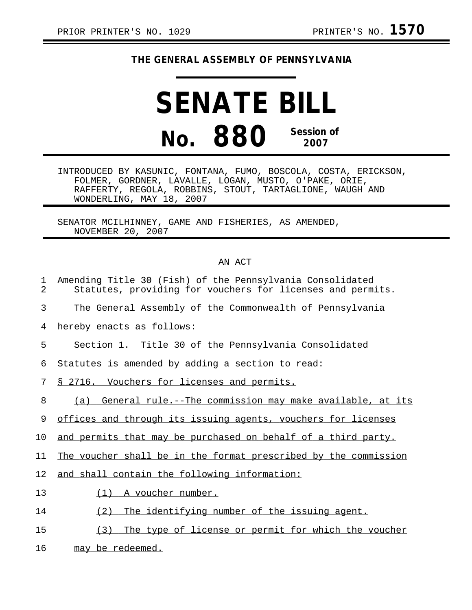## **THE GENERAL ASSEMBLY OF PENNSYLVANIA**

## **SENATE BILL No. 880 Session of 2007**

INTRODUCED BY KASUNIC, FONTANA, FUMO, BOSCOLA, COSTA, ERICKSON, FOLMER, GORDNER, LAVALLE, LOGAN, MUSTO, O'PAKE, ORIE, RAFFERTY, REGOLA, ROBBINS, STOUT, TARTAGLIONE, WAUGH AND WONDERLING, MAY 18, 2007

SENATOR MCILHINNEY, GAME AND FISHERIES, AS AMENDED, NOVEMBER 20, 2007

## AN ACT

| 1<br>$\overline{2}$ | Amending Title 30 (Fish) of the Pennsylvania Consolidated<br>Statutes, providing for vouchers for licenses and permits. |
|---------------------|-------------------------------------------------------------------------------------------------------------------------|
| 3                   | The General Assembly of the Commonwealth of Pennsylvania                                                                |
| 4                   | hereby enacts as follows:                                                                                               |
| 5                   | Section 1. Title 30 of the Pennsylvania Consolidated                                                                    |
| 6                   | Statutes is amended by adding a section to read:                                                                        |
| 7                   | <u>§ 2716. Vouchers for licenses and permits.</u>                                                                       |
| 8                   | General rule.--The commission may make available, at its<br>(a)                                                         |
| 9                   | offices and through its issuing agents, vouchers for licenses                                                           |
| 10                  | and permits that may be purchased on behalf of a third party.                                                           |
| 11                  | The voucher shall be in the format prescribed by the commission                                                         |
| 12                  | and shall contain the following information:                                                                            |
| 13                  | (1)<br>A voucher number.                                                                                                |
| 14                  | The identifying number of the issuing agent.<br>(2)                                                                     |
| 15                  | The type of license or permit for which the voucher<br>(3)                                                              |
| 16                  | may be redeemed.                                                                                                        |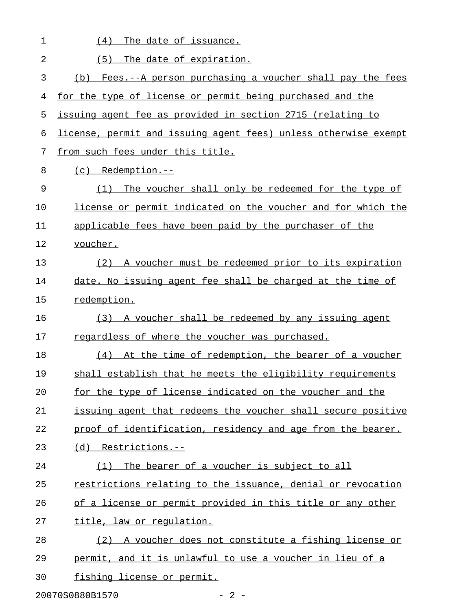| 1              | The date of issuance.<br>(4)                                    |
|----------------|-----------------------------------------------------------------|
| $\overline{2}$ | The date of expiration.<br>(5)                                  |
| 3              | Fees.--A person purchasing a voucher shall pay the fees<br>(b)  |
| 4              | for the type of license or permit being purchased and the       |
| 5              | issuing agent fee as provided in section 2715 (relating to      |
| 6              | license, permit and issuing agent fees) unless otherwise exempt |
| 7              | from such fees under this title.                                |
| 8              | $(c)$ Redemption.--                                             |
| 9              | The voucher shall only be redeemed for the type of<br>(1)       |
| 10             | license or permit indicated on the voucher and for which the    |
| 11             | applicable fees have been paid by the purchaser of the          |
| 12             | voucher.                                                        |
| 13             | (2) A voucher must be redeemed prior to its expiration          |
| 14             | date. No issuing agent fee shall be charged at the time of      |
| 15             | redemption.                                                     |
| 16             | (3) A voucher shall be redeemed by any issuing agent            |
| 17             | regardless of where the voucher was purchased.                  |
| 18             | (4) At the time of redemption, the bearer of a voucher          |
| 19             | shall establish that he meets the eligibility requirements      |
| 20             | for the type of license indicated on the voucher and the        |
| 21             | issuing agent that redeems the voucher shall secure positive    |
| 22             | proof of identification, residency and age from the bearer.     |
| 23             | (d) Restrictions.--                                             |
| 24             | The bearer of a voucher is subject to all<br>(1)                |
| 25             | restrictions relating to the issuance, denial or revocation     |
| 26             | of a license or permit provided in this title or any other      |
| 27             | title, law or regulation.                                       |
| 28             | (2) A voucher does not constitute a fishing license or          |
| 29             | permit, and it is unlawful to use a voucher in lieu of a        |
| 30             | fishing license or permit.                                      |
|                | 20070S0880B1570<br>$-2 -$                                       |